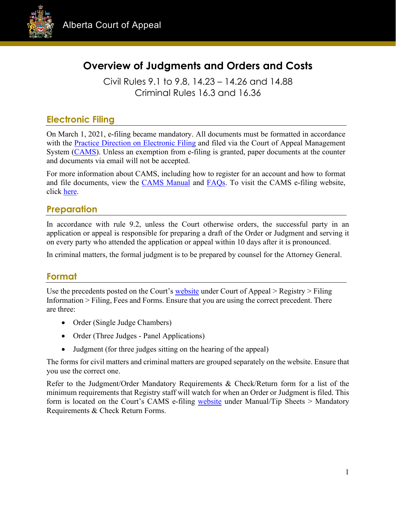

# **Overview of Judgments and Orders and Costs**

Civil Rules 9.1 to 9.8, 14.23 – 14.26 and 14.88 Criminal Rules 16.3 and 16.36

## **Electronic Filing**

On March 1, 2021, e-filing became mandatory. All documents must be formatted in accordance with the [Practice Direction on Electronic Filing](https://cams.albertacourts.ca/public-portal/files/practiceDirection.pdf) and filed via the Court of Appeal Management System [\(CAMS\)](https://cams.albertacourts.ca/public-portal/). Unless an exemption from e-filing is granted, paper documents at the counter and documents via email will not be accepted.

For more information about CAMS, including how to register for an account and how to format and file documents, view the [CAMS Manual](https://cams.albertacourts.ca/public-portal/files/CAMSManual.pdf) and [FAQs.](https://cams.albertacourts.ca/public-portal/files/FAQS.pdf) To visit the CAMS e-filing website, click [here.](https://cams.albertacourts.ca/public-portal/)

### **Preparation**

In accordance with rule 9.2, unless the Court otherwise orders, the successful party in an application or appeal is responsible for preparing a draft of the Order or Judgment and serving it on every party who attended the application or appeal within 10 days after it is pronounced.

In criminal matters, the formal judgment is to be prepared by counsel for the Attorney General.

## **Format**

Use the precedents posted on the Court's [website](https://www.albertacourts.ca/ca/home) under Court of Appeal > Registry > Filing Information > Filing, Fees and Forms. Ensure that you are using the correct precedent. There are three:

- Order (Single Judge Chambers)
- Order (Three Judges Panel Applications)
- Judgment (for three judges sitting on the hearing of the appeal)

The forms for civil matters and criminal matters are grouped separately on the website. Ensure that you use the correct one.

Refer to the Judgment/Order Mandatory Requirements & Check/Return form for a list of the minimum requirements that Registry staff will watch for when an Order or Judgment is filed. This form is located on the Court's CAMS e-filing [website](https://cams.albertacourts.ca/public-portal/) under Manual/Tip Sheets > Mandatory Requirements & Check Return Forms.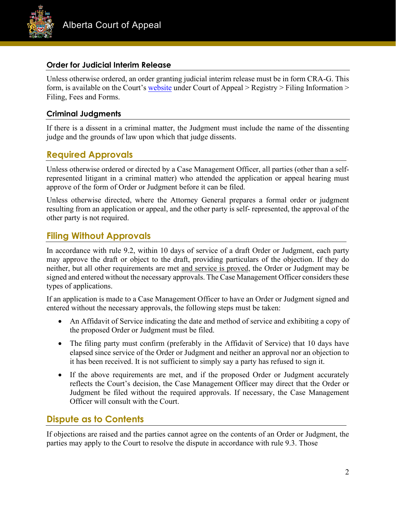

#### **Order for Judicial Interim Release**

Unless otherwise ordered, an order granting judicial interim release must be in form CRA-G. This form, is available on the Court's [website](https://www.albertacourts.ca/ca/home) under Court of Appeal > Registry > Filing Information > Filing, Fees and Forms.

#### **Criminal Judgments**

If there is a dissent in a criminal matter, the Judgment must include the name of the dissenting judge and the grounds of law upon which that judge dissents.

### **Required Approvals**

Unless otherwise ordered or directed by a Case Management Officer, all parties (other than a selfrepresented litigant in a criminal matter) who attended the application or appeal hearing must approve of the form of Order or Judgment before it can be filed.

Unless otherwise directed, where the Attorney General prepares a formal order or judgment resulting from an application or appeal, and the other party is self- represented, the approval of the other party is not required.

### **Filing Without Approvals**

In accordance with rule 9.2, within 10 days of service of a draft Order or Judgment, each party may approve the draft or object to the draft, providing particulars of the objection. If they do neither, but all other requirements are met and service is proved, the Order or Judgment may be signed and entered without the necessary approvals. The Case Management Officer considers these types of applications.

If an application is made to a Case Management Officer to have an Order or Judgment signed and entered without the necessary approvals, the following steps must be taken:

- An Affidavit of Service indicating the date and method of service and exhibiting a copy of the proposed Order or Judgment must be filed.
- The filing party must confirm (preferably in the Affidavit of Service) that 10 days have elapsed since service of the Order or Judgment and neither an approval nor an objection to it has been received. It is not sufficient to simply say a party has refused to sign it.
- If the above requirements are met, and if the proposed Order or Judgment accurately reflects the Court's decision, the Case Management Officer may direct that the Order or Judgment be filed without the required approvals. If necessary, the Case Management Officer will consult with the Court.

#### **Dispute as to Contents**

If objections are raised and the parties cannot agree on the contents of an Order or Judgment, the parties may apply to the Court to resolve the dispute in accordance with rule 9.3. Those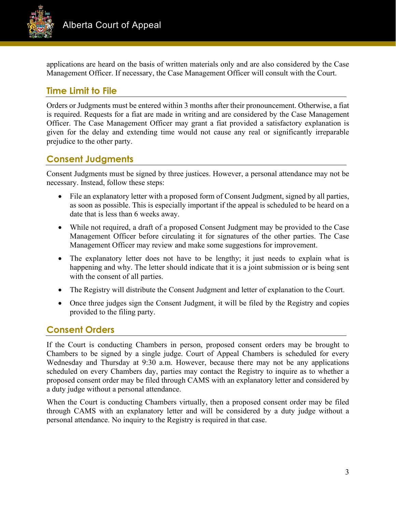

applications are heard on the basis of written materials only and are also considered by the Case Management Officer. If necessary, the Case Management Officer will consult with the Court.

## **Time Limit to File**

Orders or Judgments must be entered within 3 months after their pronouncement. Otherwise, a fiat is required. Requests for a fiat are made in writing and are considered by the Case Management Officer. The Case Management Officer may grant a fiat provided a satisfactory explanation is given for the delay and extending time would not cause any real or significantly irreparable prejudice to the other party.

## **Consent Judgments**

Consent Judgments must be signed by three justices. However, a personal attendance may not be necessary. Instead, follow these steps:

- File an explanatory letter with a proposed form of Consent Judgment, signed by all parties, as soon as possible. This is especially important if the appeal is scheduled to be heard on a date that is less than 6 weeks away.
- While not required, a draft of a proposed Consent Judgment may be provided to the Case Management Officer before circulating it for signatures of the other parties. The Case Management Officer may review and make some suggestions for improvement.
- The explanatory letter does not have to be lengthy; it just needs to explain what is happening and why. The letter should indicate that it is a joint submission or is being sent with the consent of all parties.
- The Registry will distribute the Consent Judgment and letter of explanation to the Court.
- Once three judges sign the Consent Judgment, it will be filed by the Registry and copies provided to the filing party.

### **Consent Orders**

If the Court is conducting Chambers in person, proposed consent orders may be brought to Chambers to be signed by a single judge. Court of Appeal Chambers is scheduled for every Wednesday and Thursday at 9:30 a.m. However, because there may not be any applications scheduled on every Chambers day, parties may contact the Registry to inquire as to whether a proposed consent order may be filed through CAMS with an explanatory letter and considered by a duty judge without a personal attendance.

When the Court is conducting Chambers virtually, then a proposed consent order may be filed through CAMS with an explanatory letter and will be considered by a duty judge without a personal attendance. No inquiry to the Registry is required in that case.